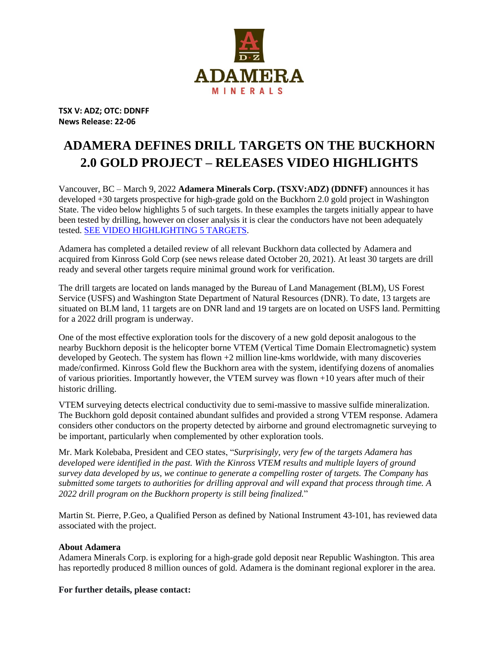

**TSX V: ADZ; OTC: DDNFF News Release: 22-06**

## **ADAMERA DEFINES DRILL TARGETS ON THE BUCKHORN 2.0 GOLD PROJECT – RELEASES VIDEO HIGHLIGHTS**

Vancouver, BC – March 9, 2022 **Adamera Minerals Corp. (TSXV:ADZ) (DDNFF)** announces it has developed +30 targets prospective for high-grade gold on the Buckhorn 2.0 gold project in Washington State. The video below highlights 5 of such targets. In these examples the targets initially appear to have been tested by drilling, however on closer analysis it is clear the conductors have not been adequately tested. [SEE VIDEO HIGHLIGHTING 5 TARGETS.](https://youtu.be/g2P-DnoyGXg)

Adamera has completed a detailed review of all relevant Buckhorn data collected by Adamera and acquired from Kinross Gold Corp (see news release dated October 20, 2021). At least 30 targets are drill ready and several other targets require minimal ground work for verification.

The drill targets are located on lands managed by the Bureau of Land Management (BLM), US Forest Service (USFS) and Washington State Department of Natural Resources (DNR). To date, 13 targets are situated on BLM land, 11 targets are on DNR land and 19 targets are on located on USFS land. Permitting for a 2022 drill program is underway.

One of the most effective exploration tools for the discovery of a new gold deposit analogous to the nearby Buckhorn deposit is the helicopter borne VTEM (Vertical Time Domain Electromagnetic) system developed by Geotech. The system has flown +2 million line-kms worldwide, with many discoveries made/confirmed. Kinross Gold flew the Buckhorn area with the system, identifying dozens of anomalies of various priorities. Importantly however, the VTEM survey was flown +10 years after much of their historic drilling.

VTEM surveying detects electrical conductivity due to semi-massive to massive sulfide mineralization. The Buckhorn gold deposit contained abundant sulfides and provided a strong VTEM response. Adamera considers other conductors on the property detected by airborne and ground electromagnetic surveying to be important, particularly when complemented by other exploration tools.

Mr. Mark Kolebaba, President and CEO states, "*Surprisingly, very few of the targets Adamera has developed were identified in the past. With the Kinross VTEM results and multiple layers of ground survey data developed by us, we continue to generate a compelling roster of targets. The Company has submitted some targets to authorities for drilling approval and will expand that process through time. A 2022 drill program on the Buckhorn property is still being finalized.*"

Martin St. Pierre, P.Geo, a Qualified Person as defined by National Instrument 43-101, has reviewed data associated with the project.

## **About Adamera**

Adamera Minerals Corp. is exploring for a high-grade gold deposit near Republic Washington. This area has reportedly produced 8 million ounces of gold. Adamera is the dominant regional explorer in the area.

**For further details, please contact:**